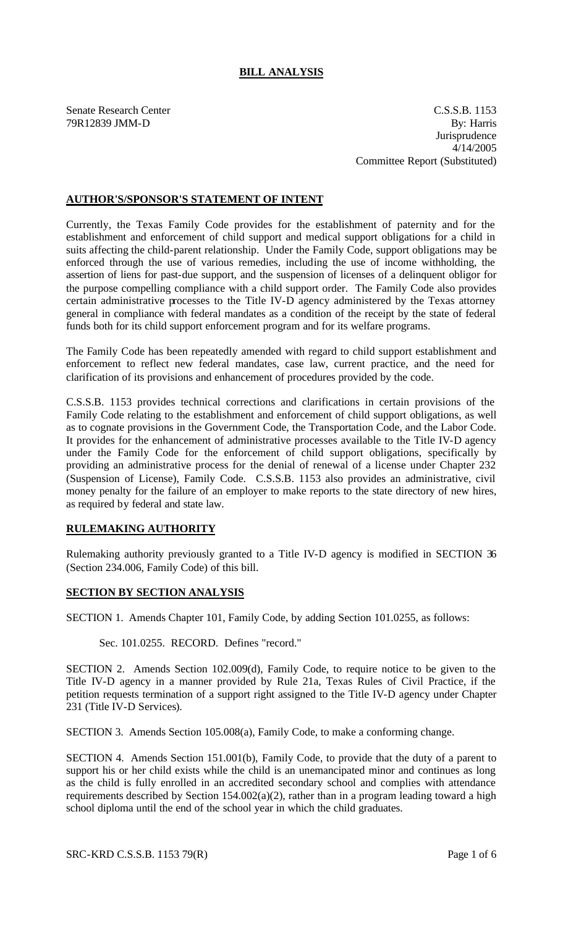## **BILL ANALYSIS**

Senate Research Center C.S.S.B. 1153 79R12839 JMM-D By: Harris **Jurisprudence** 4/14/2005 Committee Report (Substituted)

## **AUTHOR'S/SPONSOR'S STATEMENT OF INTENT**

Currently, the Texas Family Code provides for the establishment of paternity and for the establishment and enforcement of child support and medical support obligations for a child in suits affecting the child-parent relationship. Under the Family Code, support obligations may be enforced through the use of various remedies, including the use of income withholding, the assertion of liens for past-due support, and the suspension of licenses of a delinquent obligor for the purpose compelling compliance with a child support order. The Family Code also provides certain administrative processes to the Title IV-D agency administered by the Texas attorney general in compliance with federal mandates as a condition of the receipt by the state of federal funds both for its child support enforcement program and for its welfare programs.

The Family Code has been repeatedly amended with regard to child support establishment and enforcement to reflect new federal mandates, case law, current practice, and the need for clarification of its provisions and enhancement of procedures provided by the code.

C.S.S.B. 1153 provides technical corrections and clarifications in certain provisions of the Family Code relating to the establishment and enforcement of child support obligations, as well as to cognate provisions in the Government Code, the Transportation Code, and the Labor Code. It provides for the enhancement of administrative processes available to the Title IV-D agency under the Family Code for the enforcement of child support obligations, specifically by providing an administrative process for the denial of renewal of a license under Chapter 232 (Suspension of License), Family Code. C.S.S.B. 1153 also provides an administrative, civil money penalty for the failure of an employer to make reports to the state directory of new hires, as required by federal and state law.

## **RULEMAKING AUTHORITY**

Rulemaking authority previously granted to a Title IV-D agency is modified in SECTION 36 (Section 234.006, Family Code) of this bill.

## **SECTION BY SECTION ANALYSIS**

SECTION 1. Amends Chapter 101, Family Code, by adding Section 101.0255, as follows:

Sec. 101.0255. RECORD. Defines "record."

SECTION 2. Amends Section 102.009(d), Family Code, to require notice to be given to the Title IV-D agency in a manner provided by Rule 21a, Texas Rules of Civil Practice, if the petition requests termination of a support right assigned to the Title IV-D agency under Chapter 231 (Title IV-D Services).

SECTION 3. Amends Section 105.008(a), Family Code, to make a conforming change.

SECTION 4. Amends Section 151.001(b), Family Code, to provide that the duty of a parent to support his or her child exists while the child is an unemancipated minor and continues as long as the child is fully enrolled in an accredited secondary school and complies with attendance requirements described by Section 154.002(a)(2), rather than in a program leading toward a high school diploma until the end of the school year in which the child graduates.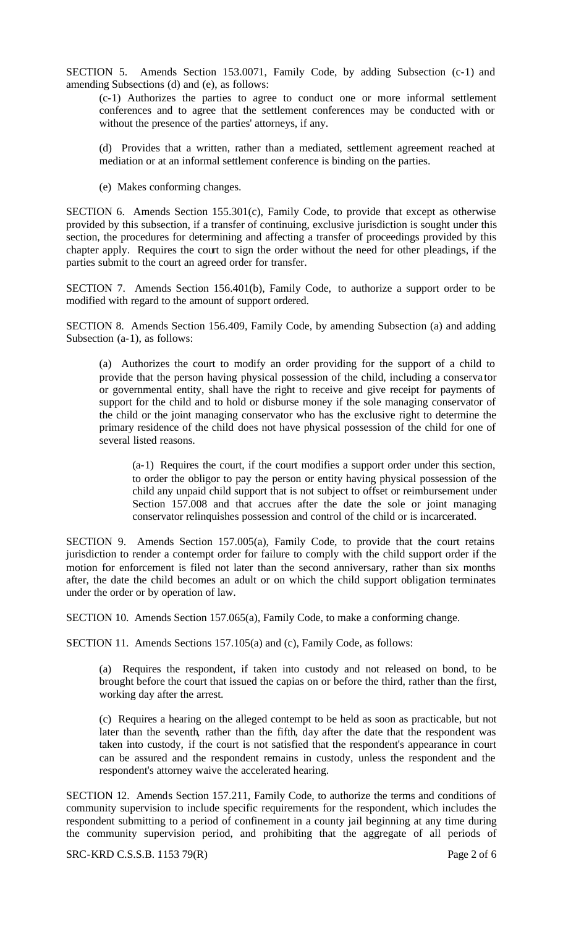SECTION 5. Amends Section 153.0071, Family Code, by adding Subsection (c-1) and amending Subsections (d) and (e), as follows:

(c-1) Authorizes the parties to agree to conduct one or more informal settlement conferences and to agree that the settlement conferences may be conducted with or without the presence of the parties' attorneys, if any.

(d) Provides that a written, rather than a mediated, settlement agreement reached at mediation or at an informal settlement conference is binding on the parties.

(e) Makes conforming changes.

SECTION 6. Amends Section 155.301(c), Family Code, to provide that except as otherwise provided by this subsection, if a transfer of continuing, exclusive jurisdiction is sought under this section, the procedures for determining and affecting a transfer of proceedings provided by this chapter apply. Requires the court to sign the order without the need for other pleadings, if the parties submit to the court an agreed order for transfer.

SECTION 7. Amends Section 156.401(b), Family Code, to authorize a support order to be modified with regard to the amount of support ordered.

SECTION 8. Amends Section 156.409, Family Code, by amending Subsection (a) and adding Subsection (a-1), as follows:

(a) Authorizes the court to modify an order providing for the support of a child to provide that the person having physical possession of the child, including a conserva tor or governmental entity, shall have the right to receive and give receipt for payments of support for the child and to hold or disburse money if the sole managing conservator of the child or the joint managing conservator who has the exclusive right to determine the primary residence of the child does not have physical possession of the child for one of several listed reasons.

(a-1) Requires the court, if the court modifies a support order under this section, to order the obligor to pay the person or entity having physical possession of the child any unpaid child support that is not subject to offset or reimbursement under Section 157.008 and that accrues after the date the sole or joint managing conservator relinquishes possession and control of the child or is incarcerated.

SECTION 9. Amends Section 157.005(a), Family Code, to provide that the court retains jurisdiction to render a contempt order for failure to comply with the child support order if the motion for enforcement is filed not later than the second anniversary, rather than six months after, the date the child becomes an adult or on which the child support obligation terminates under the order or by operation of law.

SECTION 10. Amends Section 157.065(a), Family Code, to make a conforming change.

SECTION 11. Amends Sections 157.105(a) and (c), Family Code, as follows:

(a) Requires the respondent, if taken into custody and not released on bond, to be brought before the court that issued the capias on or before the third, rather than the first, working day after the arrest.

(c) Requires a hearing on the alleged contempt to be held as soon as practicable, but not later than the seventh, rather than the fifth, day after the date that the respondent was taken into custody, if the court is not satisfied that the respondent's appearance in court can be assured and the respondent remains in custody, unless the respondent and the respondent's attorney waive the accelerated hearing.

SECTION 12. Amends Section 157.211, Family Code, to authorize the terms and conditions of community supervision to include specific requirements for the respondent, which includes the respondent submitting to a period of confinement in a county jail beginning at any time during the community supervision period, and prohibiting that the aggregate of all periods of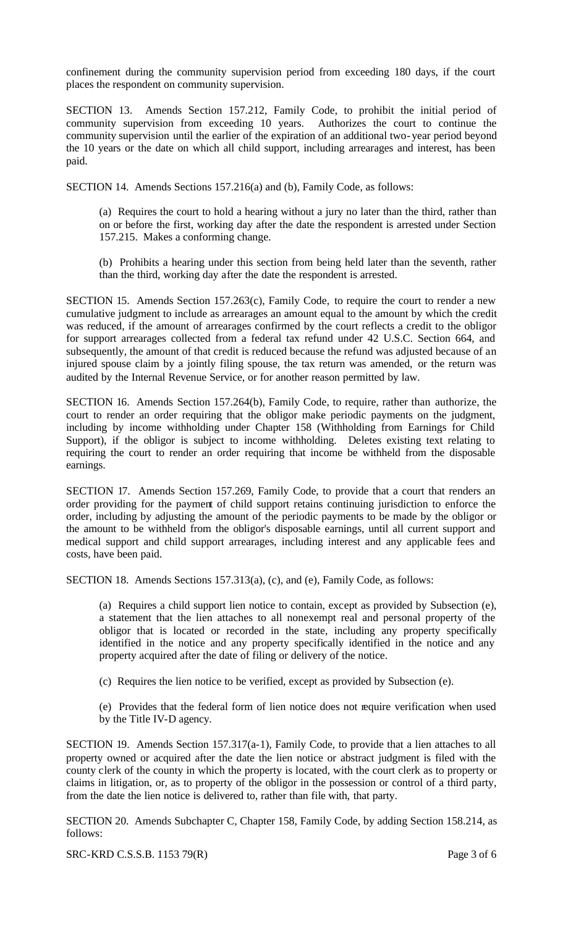confinement during the community supervision period from exceeding 180 days, if the court places the respondent on community supervision.

SECTION 13. Amends Section 157.212, Family Code, to prohibit the initial period of community supervision from exceeding 10 years. Authorizes the court to continue the community supervision until the earlier of the expiration of an additional two-year period beyond the 10 years or the date on which all child support, including arrearages and interest, has been paid.

SECTION 14. Amends Sections 157.216(a) and (b), Family Code, as follows:

(a) Requires the court to hold a hearing without a jury no later than the third, rather than on or before the first, working day after the date the respondent is arrested under Section 157.215. Makes a conforming change.

(b) Prohibits a hearing under this section from being held later than the seventh, rather than the third, working day after the date the respondent is arrested.

SECTION 15. Amends Section 157.263(c), Family Code, to require the court to render a new cumulative judgment to include as arrearages an amount equal to the amount by which the credit was reduced, if the amount of arrearages confirmed by the court reflects a credit to the obligor for support arrearages collected from a federal tax refund under 42 U.S.C. Section 664, and subsequently, the amount of that credit is reduced because the refund was adjusted because of an injured spouse claim by a jointly filing spouse, the tax return was amended, or the return was audited by the Internal Revenue Service, or for another reason permitted by law.

SECTION 16. Amends Section 157.264(b), Family Code, to require, rather than authorize, the court to render an order requiring that the obligor make periodic payments on the judgment, including by income withholding under Chapter 158 (Withholding from Earnings for Child Support), if the obligor is subject to income withholding. Deletes existing text relating to requiring the court to render an order requiring that income be withheld from the disposable earnings.

SECTION 17. Amends Section 157.269, Family Code, to provide that a court that renders an order providing for the payment of child support retains continuing jurisdiction to enforce the order, including by adjusting the amount of the periodic payments to be made by the obligor or the amount to be withheld from the obligor's disposable earnings, until all current support and medical support and child support arrearages, including interest and any applicable fees and costs, have been paid.

SECTION 18. Amends Sections 157.313(a), (c), and (e), Family Code, as follows:

(a) Requires a child support lien notice to contain, except as provided by Subsection (e), a statement that the lien attaches to all nonexempt real and personal property of the obligor that is located or recorded in the state, including any property specifically identified in the notice and any property specifically identified in the notice and any property acquired after the date of filing or delivery of the notice.

(c) Requires the lien notice to be verified, except as provided by Subsection (e).

(e) Provides that the federal form of lien notice does not require verification when used by the Title IV-D agency.

SECTION 19. Amends Section 157.317(a-1), Family Code, to provide that a lien attaches to all property owned or acquired after the date the lien notice or abstract judgment is filed with the county clerk of the county in which the property is located, with the court clerk as to property or claims in litigation, or, as to property of the obligor in the possession or control of a third party, from the date the lien notice is delivered to, rather than file with, that party.

SECTION 20. Amends Subchapter C, Chapter 158, Family Code, by adding Section 158.214, as follows:

SRC-KRD C.S.S.B. 1153 79(R) Page 3 of 6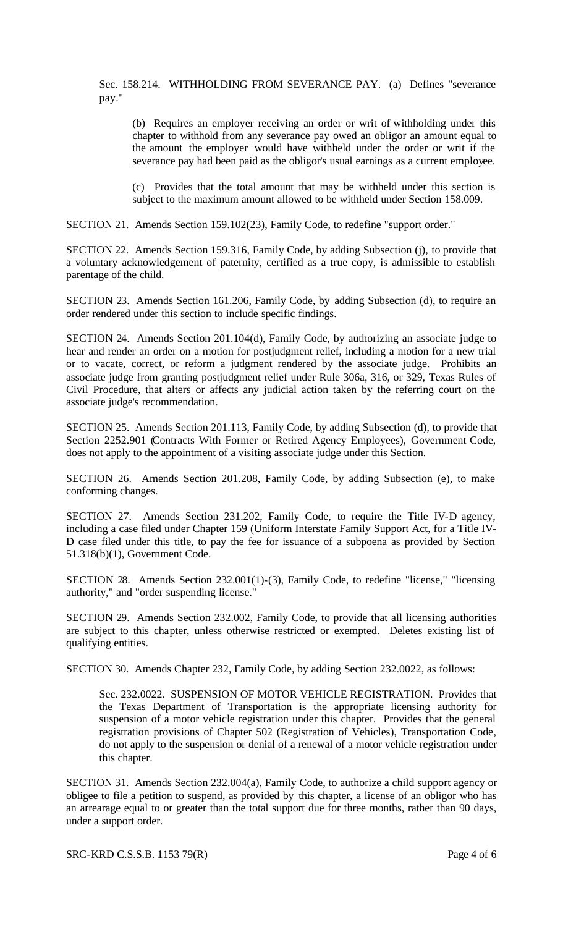Sec. 158.214. WITHHOLDING FROM SEVERANCE PAY. (a) Defines "severance pay."

(b) Requires an employer receiving an order or writ of withholding under this chapter to withhold from any severance pay owed an obligor an amount equal to the amount the employer would have withheld under the order or writ if the severance pay had been paid as the obligor's usual earnings as a current employee.

(c) Provides that the total amount that may be withheld under this section is subject to the maximum amount allowed to be withheld under Section 158.009.

SECTION 21. Amends Section 159.102(23), Family Code, to redefine "support order."

SECTION 22. Amends Section 159.316, Family Code, by adding Subsection (j), to provide that a voluntary acknowledgement of paternity, certified as a true copy, is admissible to establish parentage of the child.

SECTION 23. Amends Section 161.206, Family Code, by adding Subsection (d), to require an order rendered under this section to include specific findings.

SECTION 24. Amends Section 201.104(d), Family Code, by authorizing an associate judge to hear and render an order on a motion for postjudgment relief, including a motion for a new trial or to vacate, correct, or reform a judgment rendered by the associate judge. Prohibits an associate judge from granting postjudgment relief under Rule 306a, 316, or 329, Texas Rules of Civil Procedure, that alters or affects any judicial action taken by the referring court on the associate judge's recommendation.

SECTION 25. Amends Section 201.113, Family Code, by adding Subsection (d), to provide that Section 2252.901 (Contracts With Former or Retired Agency Employees), Government Code, does not apply to the appointment of a visiting associate judge under this Section.

SECTION 26. Amends Section 201.208, Family Code, by adding Subsection (e), to make conforming changes.

SECTION 27. Amends Section 231.202, Family Code, to require the Title IV-D agency, including a case filed under Chapter 159 (Uniform Interstate Family Support Act, for a Title IV-D case filed under this title, to pay the fee for issuance of a subpoena as provided by Section 51.318(b)(1), Government Code.

SECTION 28. Amends Section 232.001(1)-(3), Family Code, to redefine "license," "licensing authority," and "order suspending license."

SECTION 29. Amends Section 232.002, Family Code, to provide that all licensing authorities are subject to this chapter, unless otherwise restricted or exempted. Deletes existing list of qualifying entities.

SECTION 30. Amends Chapter 232, Family Code, by adding Section 232.0022, as follows:

Sec. 232.0022. SUSPENSION OF MOTOR VEHICLE REGISTRATION. Provides that the Texas Department of Transportation is the appropriate licensing authority for suspension of a motor vehicle registration under this chapter. Provides that the general registration provisions of Chapter 502 (Registration of Vehicles), Transportation Code, do not apply to the suspension or denial of a renewal of a motor vehicle registration under this chapter.

SECTION 31. Amends Section 232.004(a), Family Code, to authorize a child support agency or obligee to file a petition to suspend, as provided by this chapter, a license of an obligor who has an arrearage equal to or greater than the total support due for three months, rather than 90 days, under a support order.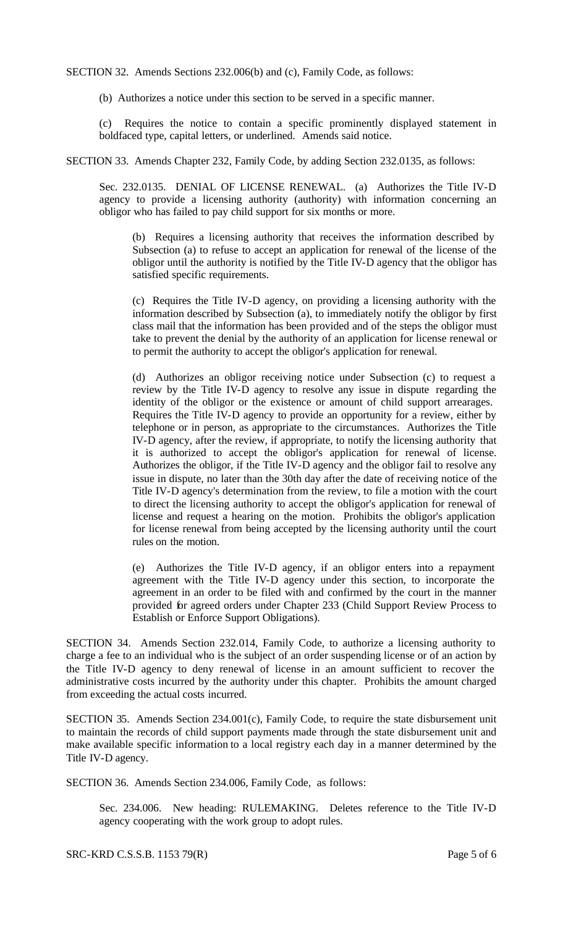SECTION 32. Amends Sections 232.006(b) and (c), Family Code, as follows:

(b) Authorizes a notice under this section to be served in a specific manner.

Requires the notice to contain a specific prominently displayed statement in boldfaced type, capital letters, or underlined. Amends said notice.

SECTION 33. Amends Chapter 232, Family Code, by adding Section 232.0135, as follows:

Sec. 232.0135. DENIAL OF LICENSE RENEWAL. (a) Authorizes the Title IV-D agency to provide a licensing authority (authority) with information concerning an obligor who has failed to pay child support for six months or more.

(b) Requires a licensing authority that receives the information described by Subsection (a) to refuse to accept an application for renewal of the license of the obligor until the authority is notified by the Title IV-D agency that the obligor has satisfied specific requirements.

(c) Requires the Title IV-D agency, on providing a licensing authority with the information described by Subsection (a), to immediately notify the obligor by first class mail that the information has been provided and of the steps the obligor must take to prevent the denial by the authority of an application for license renewal or to permit the authority to accept the obligor's application for renewal.

(d) Authorizes an obligor receiving notice under Subsection (c) to request a review by the Title IV-D agency to resolve any issue in dispute regarding the identity of the obligor or the existence or amount of child support arrearages. Requires the Title IV-D agency to provide an opportunity for a review, either by telephone or in person, as appropriate to the circumstances. Authorizes the Title IV-D agency, after the review, if appropriate, to notify the licensing authority that it is authorized to accept the obligor's application for renewal of license. Authorizes the obligor, if the Title IV-D agency and the obligor fail to resolve any issue in dispute, no later than the 30th day after the date of receiving notice of the Title IV-D agency's determination from the review, to file a motion with the court to direct the licensing authority to accept the obligor's application for renewal of license and request a hearing on the motion. Prohibits the obligor's application for license renewal from being accepted by the licensing authority until the court rules on the motion.

(e) Authorizes the Title IV-D agency, if an obligor enters into a repayment agreement with the Title IV-D agency under this section, to incorporate the agreement in an order to be filed with and confirmed by the court in the manner provided for agreed orders under Chapter 233 (Child Support Review Process to Establish or Enforce Support Obligations).

SECTION 34. Amends Section 232.014, Family Code, to authorize a licensing authority to charge a fee to an individual who is the subject of an order suspending license or of an action by the Title IV-D agency to deny renewal of license in an amount sufficient to recover the administrative costs incurred by the authority under this chapter. Prohibits the amount charged from exceeding the actual costs incurred.

SECTION 35. Amends Section 234.001(c), Family Code, to require the state disbursement unit to maintain the records of child support payments made through the state disbursement unit and make available specific information to a local registry each day in a manner determined by the Title IV-D agency.

SECTION 36. Amends Section 234.006, Family Code, as follows:

Sec. 234.006. New heading: RULEMAKING. Deletes reference to the Title IV-D agency cooperating with the work group to adopt rules.

SRC-KRD C.S.S.B. 1153 79(R) Page 5 of 6